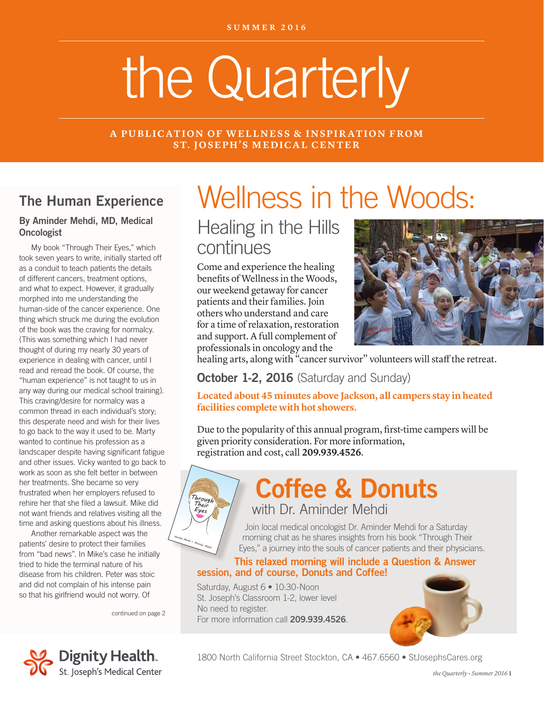# the Quarterly

#### **A PUBLICATION OF WELLNESS & INSPIRATION FROM ST. JOSEPH'S MEDICAL CENTER**

### The Human Experience

#### By Aminder Mehdi, MD, Medical **Oncologist**

My book "Through Their Eyes," which took seven years to write, initially started off as a conduit to teach patients the details of different cancers, treatment options, and what to expect. However, it gradually morphed into me understanding the human-side of the cancer experience. One thing which struck me during the evolution of the book was the craving for normalcy. (This was something which I had never thought of during my nearly 30 years of experience in dealing with cancer, until I read and reread the book. Of course, the "human experience" is not taught to us in any way during our medical school training). This craving/desire for normalcy was a common thread in each individual's story; this desperate need and wish for their lives to go back to the way it used to be. Marty wanted to continue his profession as a landscaper despite having significant fatigue landscaper despite naving significant latigue<br>and other issues. Vicky wanted to go back to and other issues. Vicky wanted to go back to<br>work as soon as she felt better in between<br>her treatments. She became so yery her treatments. She became so very frustrated when her employers refused to<br>frustrated when her employers refused to<br>rehire her that she filed a lawsuit. Mike did rrustrated when her employers refused to<br>rehire her that she filed a lawsuit. Mike did<br>not want friends and relatives visiting all the rehire her that she filed a lawsuit. Mike did<br>not want friends and relatives visiting all the time and asking questions about his illness.

Another remarkable aspect was the patients' desire to protect their families from "bad news". In Mike's case he initially tried to hide the terminal nature of his disease from his children. Peter was stoic and did not complain of his intense pain so that his girlfriend would not worry. Of

continued on page 2

*Through Their Eyes*

*Harshal Mehdi & Aminder Mehdi*

*Through Their Eyes*

S. **SP<sup>I</sup>RATIO<sup>N</sup> - <sup>P</sup>RID<sup>E</sup> <sup>D</sup>IAGNOSI<sup>S</sup> - <sup>D</sup>EPRESSIO<sup>N</sup>**



## Healing in the Hills continues

Come and experience the healing benefits of Wellness in the Woods, our weekend getaway for cancer patients and their families. Join others who understand and care for a time of relaxation, restoration and support. A full complement of professionals in oncology and the



healing arts, along with "cancer survivor" volunteers will staff the retreat.

#### **October 1-2, 2016** (Saturday and Sunday)

**Located about 45 minutes above Jackson, all campers stay in heated facilities complete with hot showers.** 

Due to the popularity of this annual program, first-time campers will be given priority consideration. For more information, registration and cost, call **209.939.4526**.

> Coffee & Donuts with Dr. Aminder Mehdi

Join local medical oncologist Dr. Aminder Mehdi for a Saturday morning chat as he shares insights from his book "Through Their Eyes," a journey into the souls of cancer patients and their physicians.

#### This relaxed morning will include a Question & Answer session, and of course, Donuts and Coffee!

Saturday, August 6 • 10:30-Noon St. Joseph's Classroom 1-2, lower level No need to register. For more information call 209.939.4526.





1800 North California Street Stockton, CA • 467.6560 • StJosephsCares.org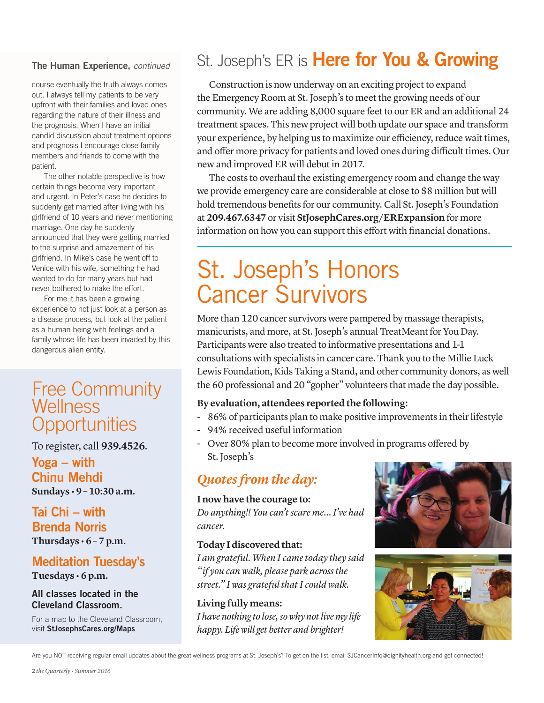#### The Human Experience, *continued*

course eventually the truth always comes out. I always tell my patients to be very upfront with their families and loved ones regarding the nature of their illness and the prognosis. When I have an initial candid discussion about treatment options and prognosis I encourage close family members and friends to come with the patient.

The other notable perspective is how certain things become very important and urgent. In Peter's case he decides to suddenly get married after living with his girlfriend of 10 years and never mentioning marriage. One day he suddenly announced that they were getting married to the surprise and amazement of his girlfriend. In Mike's case he went off to Venice with his wife, something he had wanted to do for many years but had never bothered to make the effort.

For me it has been a growing experience to not just look at a person as a disease process, but look at the patient as a human being with feelings and a family whose life has been invaded by this dangerous alien entity.

### Free Community **Wellness Opportunities**

To register, call **939.4526**.

Yoga – with Chinu Mehdi **Sundays • 9 – 10:30 a.m.**

#### Tai Chi – with Brenda Norris **Thursdays • 6 – 7 p.m.**

# Meditation Tuesday's

**Tuesdays • 6 p.m.**

#### All classes located in the Cleveland Classroom.

For a map to the Cleveland Classroom, visit StJosephsCares.org/Maps

# St. Joseph's ER is Here for You & Growing

Construction is now underway on an exciting project to expand the Emergency Room at St. Joseph's to meet the growing needs of our community. We are adding 8,000 square feet to our ER and an additional 24 treatment spaces. This new project will both update our space and transform your experience, by helping us to maximize our efficiency, reduce wait times, and offer more privacy for patients and loved ones during difficult times. Our new and improved ER will debut in 2017.

The costs to overhaul the existing emergency room and change the way we provide emergency care are considerable at close to \$8 million but will hold tremendous benefits for our community. Call St. Joseph's Foundation at **209.467.6347** or visit **StJosephCares.org/ERExpansion** for more information on how you can support this effort with financial donations.

# St. Joseph's Honors Cancer Survivors

More than 120 cancer survivors were pampered by massage therapists, manicurists, and more, at St. Joseph's annual TreatMeant for You Day. Participants were also treated to informative presentations and 1-1 consultations with specialists in cancer care. Thank you to the Millie Luck Lewis Foundation, Kids Taking a Stand, and other community donors, as well the 60 professional and 20 "gopher" volunteers that made the day possible.

#### **By evaluation, attendees reported the following:**

- 86% of participants plan to make positive improvements in their lifestyle
- 94% received useful information
- Over 80% plan to become more involved in programs offered by St. Joseph's

### *Quotes from the day:*

#### **I now have the courage to:**

*Do anything!! You can't scare me… I've had cancer.*

#### **Today I discovered that:**

*I am grateful. When I came today they said "if you can walk, please park across the street." I was grateful that I could walk.* 

**Living fully means:** *I have nothing to lose, so why not live my life happy. Life will get better and brighter!*





Are you NOT receiving regular email updates about the great wellness programs at St. Joseph's? To get on the list, email SJCancerInfo@dignityhealth.org and get connected!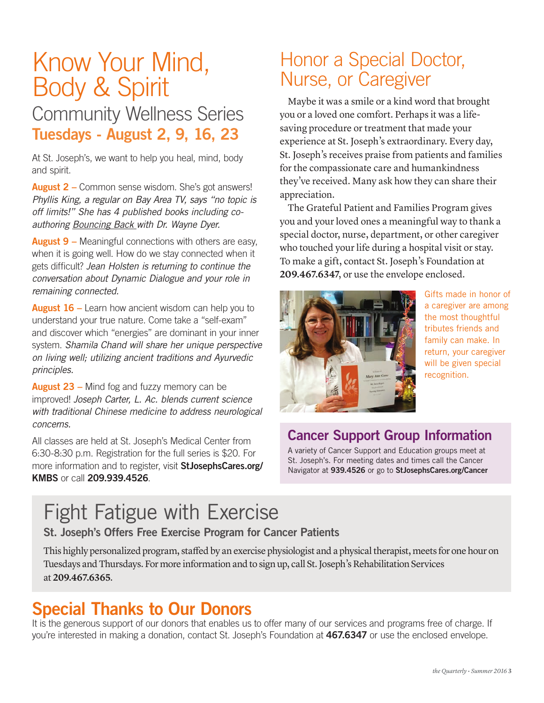# Know Your Mind, Body & Spirit

## Community Wellness Series Tuesdays - August 2, 9, 16, 23

At St. Joseph's, we want to help you heal, mind, body and spirit.

August 2 – Common sense wisdom. She's got answers! *Phyllis King, a regular on Bay Area TV, says "no topic is off limits!" She has 4 published books including coauthoring Bouncing Back with Dr. Wayne Dyer.*

**August 9** – Meaningful connections with others are easy, when it is going well. How do we stay connected when it gets difficult? *Jean Holsten is returning to continue the conversation about Dynamic Dialogue and your role in remaining connected.*

August 16 – Learn how ancient wisdom can help you to understand your true nature. Come take a "self-exam" and discover which "energies" are dominant in your inner system. *Shamila Chand will share her unique perspective on living well; utilizing ancient traditions and Ayurvedic principles.*

**August 23 – Mind fog and fuzzy memory can be** improved! *Joseph Carter, L. Ac. blends current science with traditional Chinese medicine to address neurological concerns.*

All classes are held at St. Joseph's Medical Center from 6:30-8:30 p.m. Registration for the full series is \$20. For more information and to register, visit StJosephsCares.org/ KMBS or call 209.939.4526.

# Honor a Special Doctor, Nurse, or Caregiver

Maybe it was a smile or a kind word that brought you or a loved one comfort. Perhaps it was a lifesaving procedure or treatment that made your experience at St. Joseph's extraordinary. Every day, St. Joseph's receives praise from patients and families for the compassionate care and humankindness they've received. Many ask how they can share their appreciation.

The Grateful Patient and Families Program gives you and your loved ones a meaningful way to thank a special doctor, nurse, department, or other caregiver who touched your life during a hospital visit or stay. To make a gift, contact St. Joseph's Foundation at **209.467.6347**, or use the envelope enclosed.



Gifts made in honor of a caregiver are among the most thoughtful tributes friends and family can make. In return, your caregiver will be given special recognition.

### Cancer Support Group Information

A variety of Cancer Support and Education groups meet at St. Joseph's. For meeting dates and times call the Cancer Navigator at 939.4526 or go to StJosephsCares.org/Cancer

# Fight Fatigue with Exercise

St. Joseph's Offers Free Exercise Program for Cancer Patients

This highly personalized program, staffed by an exercise physiologist and a physical therapist, meets for one hour on Tuesdays and Thursdays. For more information and to sign up, call St. Joseph's Rehabilitation Services at **209.467.6365**.

# Special Thanks to Our Donors

It is the generous support of our donors that enables us to offer many of our services and programs free of charge. If you're interested in making a donation, contact St. Joseph's Foundation at 467.6347 or use the enclosed envelope.